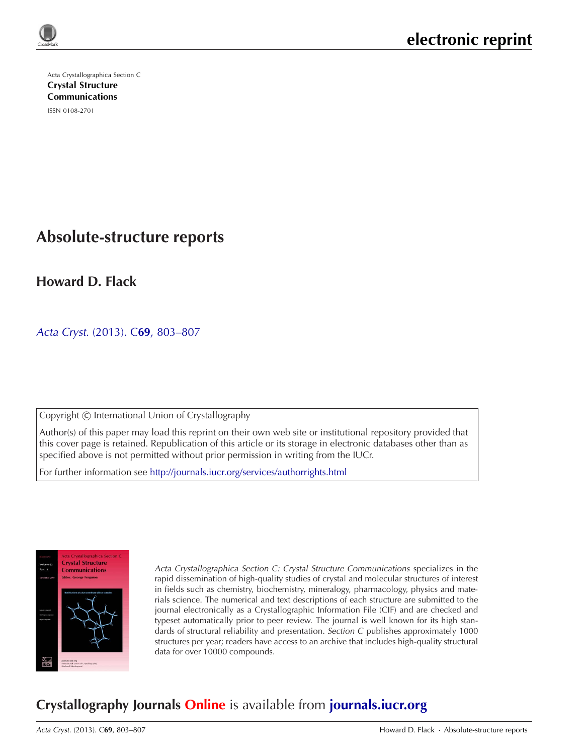

Acta Crystallographica Section C [Crystal Structure](http://journals.iucr.org/c/) Communications

ISSN 0108-2701

# **Absolute-structure reports**

**Howard D. Flack**

Acta Cryst. (2013). C**69**[, 803–807](http://dx.doi.org/10.1107/S0108270113014789)

Copyright © International Union of Crystallography

Author(s) of this paper may load this reprint on their own web site or institutional repository provided that this cover page is retained. Republication of this article or its storage in electronic databases other than as specified above is not permitted without prior permission in writing from the IUCr.

For further information see <http://journals.iucr.org/services/authorrights.html>



Acta Crystallographica Section C: Crystal Structure Communications specializes in the rapid dissemination of high-quality studies of crystal and molecular structures of interest in fields such as chemistry, biochemistry, mineralogy, pharmacology, physics and materials science. The numerical and text descriptions of each structure are submitted to the journal electronically as a Crystallographic Information File (CIF) and are checked and typeset automatically prior to peer review. The journal is well known for its high standards of structural reliability and presentation. Section C publishes approximately 1000 structures per year; readers have access to an archive that includes high-quality structural data for over 10000 compounds.

## **Crystallography Journals Online** is available from **[journals.iucr.org](http://journals.iucr.org)**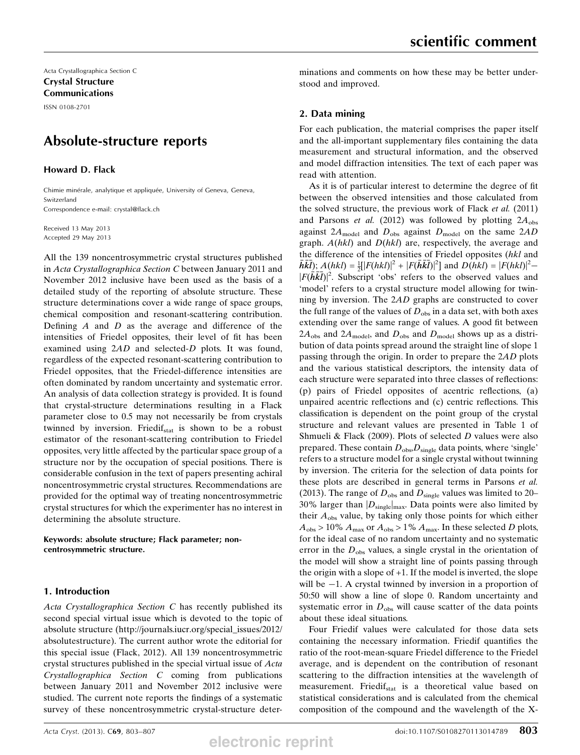Acta Crystallographica Section C Crystal Structure Communications

ISSN 0108-2701

## Absolute-structure reports

Howard D. Flack

Chimie minérale, analytique et appliquée, University of Geneva, Geneva, Switzerland Correspondence e-mail: crystal@flack.ch

Received 13 May 2013 Accepted 29 May 2013

All the 139 noncentrosymmetric crystal structures published in Acta Crystallographica Section C between January 2011 and November 2012 inclusive have been used as the basis of a detailed study of the reporting of absolute structure. These structure determinations cover a wide range of space groups, chemical composition and resonant-scattering contribution. Defining  $A$  and  $D$  as the average and difference of the intensities of Friedel opposites, their level of fit has been examined using 2AD and selected-D plots. It was found, regardless of the expected resonant-scattering contribution to Friedel opposites, that the Friedel-difference intensities are often dominated by random uncertainty and systematic error. An analysis of data collection strategy is provided. It is found that crystal-structure determinations resulting in a Flack parameter close to 0.5 may not necessarily be from crystals twinned by inversion. Friedif<sub>stat</sub> is shown to be a robust estimator of the resonant-scattering contribution to Friedel opposites, very little affected by the particular space group of a structure nor by the occupation of special positions. There is considerable confusion in the text of papers presenting achiral noncentrosymmetric crystal structures. Recommendations are provided for the optimal way of treating noncentrosymmetric crystal structures for which the experimenter has no interest in determining the absolute structure.

Keywords: absolute structure; Flack parameter; noncentrosymmetric structure.

## 1. Introduction

Acta Crystallographica Section C has recently published its second special virtual issue which is devoted to the topic of absolute structure (http://journals.iucr.org/special\_issues/2012/ absolutestructure). The current author wrote the editorial for this special issue (Flack, 2012). All 139 noncentrosymmetric crystal structures published in the special virtual issue of Acta Crystallographica Section C coming from publications between January 2011 and November 2012 inclusive were studied. The current note reports the findings of a systematic survey of these noncentrosymmetric crystal-structure deter-

minations and comments on how these may be better understood and improved.

## 2. Data mining

For each publication, the material comprises the paper itself and the all-important supplementary files containing the data measurement and structural information, and the observed and model diffraction intensities. The text of each paper was read with attention.

As it is of particular interest to determine the degree of fit between the observed intensities and those calculated from the solved structure, the previous work of Flack *et al.* (2011) and Parsons et al. (2012) was followed by plotting  $2A<sub>obs</sub>$ against  $2A_{\text{model}}$  and  $D_{\text{obs}}$  against  $D_{\text{model}}$  on the same  $2AD$ graph.  $A(hkl)$  and  $D(hkl)$  are, respectively, the average and the difference of the intensities of Friedel opposites (hkl and  $\vec{h}\vec{k}$ ;  $A(hkl) = \frac{1}{2}[[F(hkl)]^2 + [F(\vec{h}\vec{k}$ ]<sup>2</sup>] and  $D(hkl) = [F(hkl)]^2 -$ <br> $[F(\vec{h}\vec{k}$ ]<sup>2</sup> Subscript 'obs' refers to the observed values and  $|F(\vec{h}\vec{k})|^2$ . Subscript 'obs' refers to the observed values and 'model' refers to a crystal structure model allowing for twin-'model' refers to a crystal structure model allowing for twinning by inversion. The 2AD graphs are constructed to cover the full range of the values of  $D_{obs}$  in a data set, with both axes extending over the same range of values. A good fit between  $2A_{\text{obs}}$  and  $2A_{\text{model}}$ , and  $D_{\text{obs}}$  and  $D_{\text{model}}$  shows up as a distribution of data points spread around the straight line of slope 1 passing through the origin. In order to prepare the 2AD plots and the various statistical descriptors, the intensity data of each structure were separated into three classes of reflections: (p) pairs of Friedel opposites of acentric reflections, (a) unpaired acentric reflections and (c) centric reflections. This classification is dependent on the point group of the crystal structure and relevant values are presented in Table 1 of Shmueli & Flack (2009). Plots of selected  $D$  values were also prepared. These contain  $D_{obs}D_{single}$  data points, where 'single' refers to a structure model for a single crystal without twinning by inversion. The criteria for the selection of data points for these plots are described in general terms in Parsons et al. (2013). The range of  $D_{obs}$  and  $D_{single}$  values was limited to 20– 30% larger than  $|D_{single}|_{max}$ . Data points were also limited by their  $A_{obs}$  value, by taking only those points for which either  $A_{\text{obs}} > 10\% A_{\text{max}}$  or  $A_{\text{obs}} > 1\% A_{\text{max}}$ . In these selected D plots, for the ideal case of no random uncertainty and no systematic error in the  $D_{obs}$  values, a single crystal in the orientation of the model will show a straight line of points passing through the origin with a slope of +1. If the model is inverted, the slope will be  $-1$ . A crystal twinned by inversion in a proportion of 50:50 will show a line of slope 0. Random uncertainty and systematic error in  $D_{obs}$  will cause scatter of the data points about these ideal situations.

Four Friedif values were calculated for those data sets containing the necessary information. Friedif quantifies the ratio of the root-mean-square Friedel difference to the Friedel average, and is dependent on the contribution of resonant scattering to the diffraction intensities at the wavelength of measurement. Friedif<sub>stat</sub> is a theoretical value based on statistical considerations and is calculated from the chemical composition of the compound and the wavelength of the X-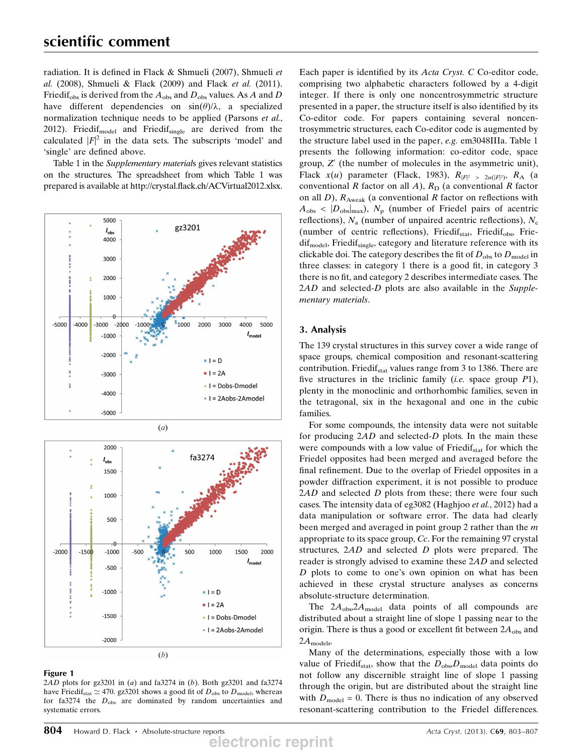radiation. It is defined in Flack & Shmueli (2007), Shmueli et al. (2008), Shmueli & Flack (2009) and Flack et al. (2011). Friedif<sub>obs</sub> is derived from the  $A_{obs}$  and  $D_{obs}$  values. As A and D have different dependencies on  $sin(\theta)/\lambda$ , a specialized normalization technique needs to be applied (Parsons et al., 2012). Friedif $_{\text{model}}$  and Friedif $_{\text{single}}$  are derived from the calculated  $|F|^2$  in the data sets. The subscripts 'model' and<br>'single' are defined above 'single' are defined above.

Table 1 in the Supplementary materials gives relevant statistics on the structures. The spreadsheet from which Table 1 was prepared is available at http://crystal.flack.ch/ACVirtual2012.xlsx.



## Figure 1

2AD plots for gz $3201$  in (a) and fa $3274$  in (b). Both gz $3201$  and fa $3274$ have Friedif<sub>stat</sub>  $\simeq$  470. gz3201 shows a good fit of  $D_{obs}$  to  $D_{model}$ , whereas for fa3274 the  $D_{obs}$  are dominated by random uncertainties and systematic errors.

Each paper is identified by its Acta Cryst. C Co-editor code, comprising two alphabetic characters followed by a 4-digit integer. If there is only one noncentrosymmetric structure presented in a paper, the structure itself is also identified by its Co-editor code. For papers containing several noncentrosymmetric structures, each Co-editor code is augmented by the structure label used in the paper, e.g. em3048IIIa. Table 1 presents the following information: co-editor code, space group,  $Z'$  (the number of molecules in the asymmetric unit), Flack  $x(u)$  parameter (Flack, 1983),  $R_{|F|^2} > \frac{2u(|F|^2)}{2}$ ,  $R_A$  (a conventional R factor on all A),  $R_B$  (a conventional R factor conventional R factor on all A),  $R_D$  (a conventional R factor on all  $D$ ),  $R_{\text{Aweak}}$  (a conventional R factor on reflections with  $A_{obs}$  <  $|D_{obs}|_{max}$ ),  $N_p$  (number of Friedel pairs of acentric reflections),  $N_a$  (number of unpaired acentric reflections),  $N_c$ (number of centric reflections), Friedif<sub>stat</sub>, Friedif<sub>obs</sub>, Frie $diff_{model}$ , Friedif<sub>single</sub>, category and literature reference with its clickable doi. The category describes the fit of  $D_{obs}$  to  $D_{model}$  in three classes: in category 1 there is a good fit, in category 3 there is no fit, and category 2 describes intermediate cases. The 2AD and selected-D plots are also available in the Supplementary materials.

## 3. Analysis

The 139 crystal structures in this survey cover a wide range of space groups, chemical composition and resonant-scattering contribution. Friedi $f_{\text{stat}}$  values range from 3 to 1386. There are five structures in the triclinic family (*i.e.* space group  $P1$ ), plenty in the monoclinic and orthorhombic families, seven in the tetragonal, six in the hexagonal and one in the cubic families.

For some compounds, the intensity data were not suitable for producing  $2AD$  and selected-D plots. In the main these were compounds with a low value of Friedi $f_{\text{stat}}$  for which the Friedel opposites had been merged and averaged before the final refinement. Due to the overlap of Friedel opposites in a powder diffraction experiment, it is not possible to produce  $2AD$  and selected  $D$  plots from these; there were four such cases. The intensity data of eg3082 (Haghjoo et al., 2012) had a data manipulation or software error. The data had clearly been merged and averaged in point group 2 rather than the m appropriate to its space group, Cc. For the remaining 97 crystal structures, 2AD and selected D plots were prepared. The reader is strongly advised to examine these 2AD and selected D plots to come to one's own opinion on what has been achieved in these crystal structure analyses as concerns absolute-structure determination.

The  $2A_{\text{obs}}2A_{\text{model}}$  data points of all compounds are distributed about a straight line of slope 1 passing near to the origin. There is thus a good or excellent fit between  $2A<sub>obs</sub>$  and  $2A_{\text{models}}$ 

Many of the determinations, especially those with a low value of Friedif<sub>stat</sub>, show that the  $D_{obs}D_{model}$  data points do not follow any discernible straight line of slope 1 passing through the origin, but are distributed about the straight line with  $D_{\text{model}} = 0$ . There is thus no indication of any observed resonant-scattering contribution to the Friedel differences.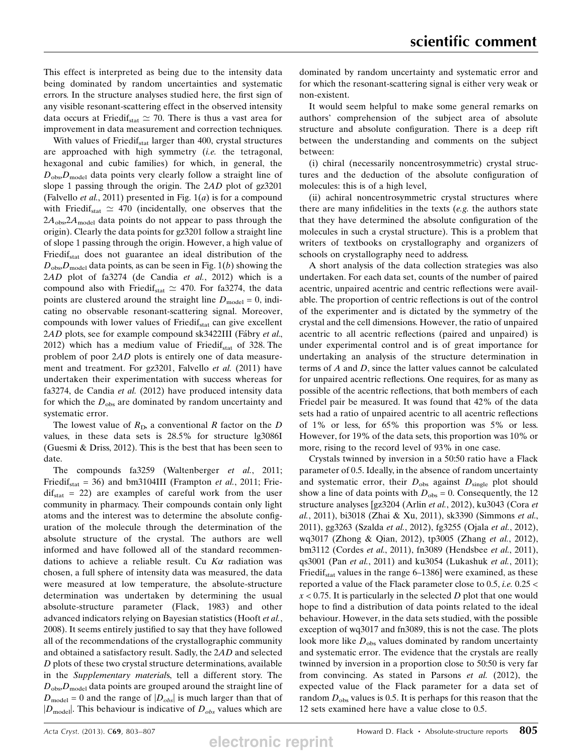This effect is interpreted as being due to the intensity data being dominated by random uncertainties and systematic errors. In the structure analyses studied here, the first sign of any visible resonant-scattering effect in the observed intensity data occurs at Friedif<sub>stat</sub>  $\simeq$  70. There is thus a vast area for improvement in data measurement and correction techniques.

With values of Friedif<sub>stat</sub> larger than 400, crystal structures are approached with high symmetry *(i.e.* the tetragonal, hexagonal and cubic families) for which, in general, the  $D_{obs}D_{model}$  data points very clearly follow a straight line of slope 1 passing through the origin. The 2AD plot of gz3201 (Falvello et al., 2011) presented in Fig.  $1(a)$  is for a compound with Friedif<sub>stat</sub>  $\simeq$  470 (incidentally, one observes that the  $2A<sub>obs</sub>2A<sub>model</sub>$  data points do not appear to pass through the origin). Clearly the data points for gz3201 follow a straight line of slope 1 passing through the origin. However, a high value of Friedif<sub>stat</sub> does not guarantee an ideal distribution of the  $D_{\rm obs}D_{\rm model}$  data points, as can be seen in Fig. 1(b) showing the <sup>2</sup>AD plot of fa3274 (de Candia et al., 2012) which is a compound also with Friedif<sub>stat</sub>  $\simeq$  470. For fa3274, the data points are clustered around the straight line  $D_{\text{model}} = 0$ , indicating no observable resonant-scattering signal. Moreover, compounds with lower values of Friedi $f_{stat}$  can give excellent 2AD plots, see for example compound sk3422III (Fábry et al., 2012) which has a medium value of Friedif<sub>stat</sub> of 328. The problem of poor 2AD plots is entirely one of data measurement and treatment. For gz3201, Falvello et al. (2011) have undertaken their experimentation with success whereas for fa3274, de Candia et al. (2012) have produced intensity data for which the  $D_{obs}$  are dominated by random uncertainty and systematic error.

The lowest value of  $R<sub>D</sub>$ , a conventional R factor on the D values, in these data sets is 28.5% for structure lg3086I (Guesmi & Driss, 2012). This is the best that has been seen to date.

The compounds fa3259 (Waltenberger et al., 2011; Friedif<sub>stat</sub> = 36) and bm3104III (Frampton *et al.*, 2011; Frie $diff_{stat}$  = 22) are examples of careful work from the user community in pharmacy. Their compounds contain only light atoms and the interest was to determine the absolute configuration of the molecule through the determination of the absolute structure of the crystal. The authors are well informed and have followed all of the standard recommendations to achieve a reliable result. Cu  $K\alpha$  radiation was chosen, a full sphere of intensity data was measured, the data were measured at low temperature, the absolute-structure determination was undertaken by determining the usual absolute-structure parameter (Flack, 1983) and other advanced indicators relying on Bayesian statistics (Hooft *et al.*, 2008). It seems entirely justified to say that they have followed all of the recommendations of the crystallographic community and obtained a satisfactory result. Sadly, the 2AD and selected D plots of these two crystal structure determinations, available in the Supplementary materials, tell a different story. The  $D_{\rm obs}D_{\rm model}$  data points are grouped around the straight line of  $D_{\text{model}} = 0$  and the range of  $|D_{obs}|$  is much larger than that of  $|D_{\text{model}}|$ . This behaviour is indicative of  $D_{obs}$  values which are dominated by random uncertainty and systematic error and for which the resonant-scattering signal is either very weak or non-existent.

It would seem helpful to make some general remarks on authors' comprehension of the subject area of absolute structure and absolute configuration. There is a deep rift between the understanding and comments on the subject between:

(i) chiral (necessarily noncentrosymmetric) crystal structures and the deduction of the absolute configuration of molecules: this is of a high level,

(ii) achiral noncentrosymmetric crystal structures where there are many infidelities in the texts  $(e.g., the authors state)$ that they have determined the absolute configuration of the molecules in such a crystal structure). This is a problem that writers of textbooks on crystallography and organizers of schools on crystallography need to address.

A short analysis of the data collection strategies was also undertaken. For each data set, counts of the number of paired acentric, unpaired acentric and centric reflections were available. The proportion of centric reflections is out of the control of the experimenter and is dictated by the symmetry of the crystal and the cell dimensions. However, the ratio of unpaired acentric to all acentric reflections (paired and unpaired) is under experimental control and is of great importance for undertaking an analysis of the structure determination in terms of A and D, since the latter values cannot be calculated for unpaired acentric reflections. One requires, for as many as possible of the acentric reflections, that both members of each Friedel pair be measured. It was found that 42% of the data sets had a ratio of unpaired acentric to all acentric reflections of 1% or less, for 65% this proportion was 5% or less. However, for 19% of the data sets, this proportion was 10% or more, rising to the record level of 93% in one case.

Crystals twinned by inversion in a 50:50 ratio have a Flack parameter of 0.5. Ideally, in the absence of random uncertainty and systematic error, their  $D_{obs}$  against  $D_{single}$  plot should show a line of data points with  $D_{obs} = 0$ . Consequently, the 12 structure analyses [gz3204 (Arlin et al., 2012), ku3043 (Cora et al., 2011), bi3018 (Zhai & Xu, 2011), sk3390 (Simmons et al., 2011), gg3263 (Szalda et al., 2012), fg3255 (Ojala et al., 2012), wq3017 (Zhong & Qian, 2012), tp3005 (Zhang et al., 2012), bm3112 (Cordes et al., 2011), fn3089 (Hendsbee et al., 2011), qs3001 (Pan et al., 2011) and ku3054 (Lukashuk et al., 2011); Friedif<sub>stat</sub> values in the range  $6-1386$ ] were examined, as these reported a value of the Flack parameter close to 0.5, i.e. 0.25 <  $x < 0.75$ . It is particularly in the selected D plot that one would hope to find a distribution of data points related to the ideal behaviour. However, in the data sets studied, with the possible exception of wq3017 and fn3089, this is not the case. The plots look more like  $D_{obs}$  values dominated by random uncertainty and systematic error. The evidence that the crystals are really twinned by inversion in a proportion close to 50:50 is very far from convincing. As stated in Parsons et al. (2012), the expected value of the Flack parameter for a data set of random  $D_{obs}$  values is 0.5. It is perhaps for this reason that the 12 sets examined here have a value close to 0.5.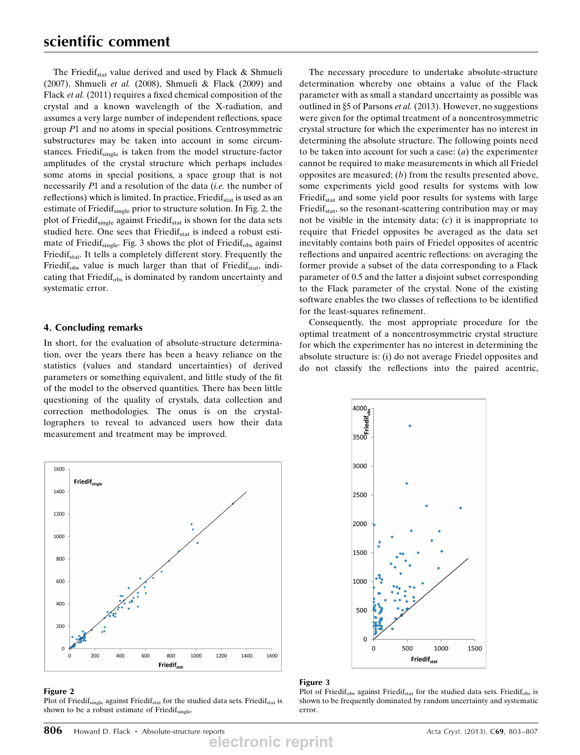The Friedif<sub>stat</sub> value derived and used by Flack  $\&$  Shmueli (2007), Shmueli et al. (2008), Shmueli & Flack (2009) and Flack et al. (2011) requires a fixed chemical composition of the crystal and a known wavelength of the X-radiation, and assumes a very large number of independent reflections, space group P1 and no atoms in special positions. Centrosymmetric substructures may be taken into account in some circumstances. Friedif<sub>single</sub> is taken from the model structure-factor amplitudes of the crystal structure which perhaps includes some atoms in special positions, a space group that is not necessarily P1 and a resolution of the data *(i.e.* the number of reflections) which is limited. In practice, Friedif<sub>stat</sub> is used as an estimate of Friedif<sub>single</sub> prior to structure solution. In Fig. 2, the plot of Friedif<sub>single</sub> against Friedif<sub>stat</sub> is shown for the data sets studied here. One sees that Friedif<sub>stat</sub> is indeed a robust estimate of Friedif<sub>single</sub>. Fig. 3 shows the plot of Friedif<sub>obs</sub> against Friedif<sub>stat</sub>. It tells a completely different story. Frequently the Friedif<sub>obs</sub> value is much larger than that of Friedif<sub>stat</sub>, indicating that Friedif<sub>obs</sub> is dominated by random uncertainty and systematic error.

## 4. Concluding remarks

In short, for the evaluation of absolute-structure determination, over the years there has been a heavy reliance on the statistics (values and standard uncertainties) of derived parameters or something equivalent, and little study of the fit of the model to the observed quantities. There has been little questioning of the quality of crystals, data collection and correction methodologies. The onus is on the crystallographers to reveal to advanced users how their data measurement and treatment may be improved.

The necessary procedure to undertake absolute-structure determination whereby one obtains a value of the Flack parameter with as small a standard uncertainty as possible was outlined in §5 of Parsons et al. (2013). However, no suggestions were given for the optimal treatment of a noncentrosymmetric crystal structure for which the experimenter has no interest in determining the absolute structure. The following points need to be taken into account for such a case:  $(a)$  the experimenter cannot be required to make measurements in which all Friedel opposites are measured;  $(b)$  from the results presented above, some experiments yield good results for systems with low Friedif<sub>stat</sub> and some yield poor results for systems with large Friedif<sub>stat</sub>, so the resonant-scattering contribution may or may not be visible in the intensity data;  $(c)$  it is inappropriate to require that Friedel opposites be averaged as the data set inevitably contains both pairs of Friedel opposites of acentric reflections and unpaired acentric reflections: on averaging the former provide a subset of the data corresponding to a Flack parameter of 0.5 and the latter a disjoint subset corresponding to the Flack parameter of the crystal. None of the existing software enables the two classes of reflections to be identified for the least-squares refinement.

Consequently, the most appropriate procedure for the optimal treatment of a noncentrosymmetric crystal structure for which the experimenter has no interest in determining the absolute structure is: (i) do not average Friedel opposites and do not classify the reflections into the paired acentric,



#### Figure 2

Plot of Friedif<sub>single</sub> against Friedif<sub>stat</sub> for the studied data sets. Friedif<sub>stat</sub> is shown to be a robust estimate of Friedif<sub>single</sub>



## Figure 3

Plot of Friedi $f_{obs}$  against Friedi $f_{stat}$  for the studied data sets. Friedi $f_{obs}$  is shown to be frequently dominated by random uncertainty and systematic error.